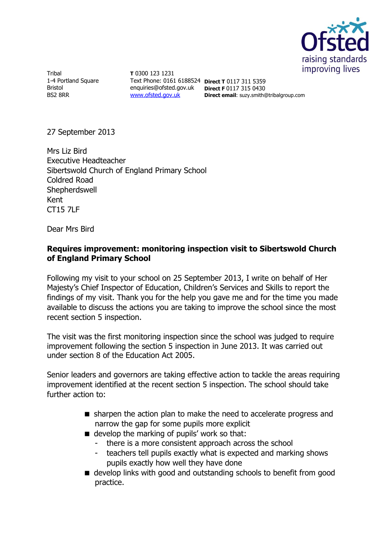

**Tribal** 1-4 Portland Square Bristol BS2 8RR

**T** 0300 123 1231 Text Phone: 0161 6188524 **Direct T** 0117 311 5359 enquiries@ofsted.gov.uk **Direct F** 0117 315 0430 [www.ofsted.gov.uk](http://www.ofsted.gov.uk/) **Direct email**: suzy.smith@tribalgroup.com

27 September 2013

Mrs Liz Bird Executive Headteacher Sibertswold Church of England Primary School Coldred Road **Shepherdswell** Kent CT15 7LF

Dear Mrs Bird

# **Requires improvement: monitoring inspection visit to Sibertswold Church of England Primary School**

Following my visit to your school on 25 September 2013, I write on behalf of Her Majesty's Chief Inspector of Education, Children's Services and Skills to report the findings of my visit. Thank you for the help you gave me and for the time you made available to discuss the actions you are taking to improve the school since the most recent section 5 inspection.

The visit was the first monitoring inspection since the school was judged to require improvement following the section 5 inspection in June 2013. It was carried out under section 8 of the Education Act 2005.

Senior leaders and governors are taking effective action to tackle the areas requiring improvement identified at the recent section 5 inspection. The school should take further action to:

- sharpen the action plan to make the need to accelerate progress and narrow the gap for some pupils more explicit
- $\blacksquare$  develop the marking of pupils' work so that:
	- there is a more consistent approach across the school
	- teachers tell pupils exactly what is expected and marking shows pupils exactly how well they have done
- develop links with good and outstanding schools to benefit from good practice.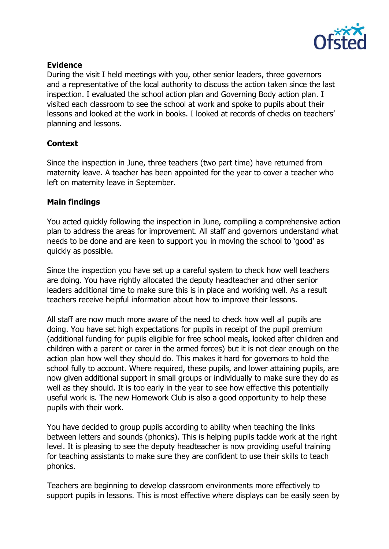

### **Evidence**

During the visit I held meetings with you, other senior leaders, three governors and a representative of the local authority to discuss the action taken since the last inspection. I evaluated the school action plan and Governing Body action plan. I visited each classroom to see the school at work and spoke to pupils about their lessons and looked at the work in books. I looked at records of checks on teachers' planning and lessons.

# **Context**

Since the inspection in June, three teachers (two part time) have returned from maternity leave. A teacher has been appointed for the year to cover a teacher who left on maternity leave in September.

#### **Main findings**

You acted quickly following the inspection in June, compiling a comprehensive action plan to address the areas for improvement. All staff and governors understand what needs to be done and are keen to support you in moving the school to 'good' as quickly as possible.

Since the inspection you have set up a careful system to check how well teachers are doing. You have rightly allocated the deputy headteacher and other senior leaders additional time to make sure this is in place and working well. As a result teachers receive helpful information about how to improve their lessons.

All staff are now much more aware of the need to check how well all pupils are doing. You have set high expectations for pupils in receipt of the pupil premium (additional funding for pupils eligible for free school meals, looked after children and children with a parent or carer in the armed forces) but it is not clear enough on the action plan how well they should do. This makes it hard for governors to hold the school fully to account. Where required, these pupils, and lower attaining pupils, are now given additional support in small groups or individually to make sure they do as well as they should. It is too early in the year to see how effective this potentially useful work is. The new Homework Club is also a good opportunity to help these pupils with their work.

You have decided to group pupils according to ability when teaching the links between letters and sounds (phonics). This is helping pupils tackle work at the right level. It is pleasing to see the deputy headteacher is now providing useful training for teaching assistants to make sure they are confident to use their skills to teach phonics.

Teachers are beginning to develop classroom environments more effectively to support pupils in lessons. This is most effective where displays can be easily seen by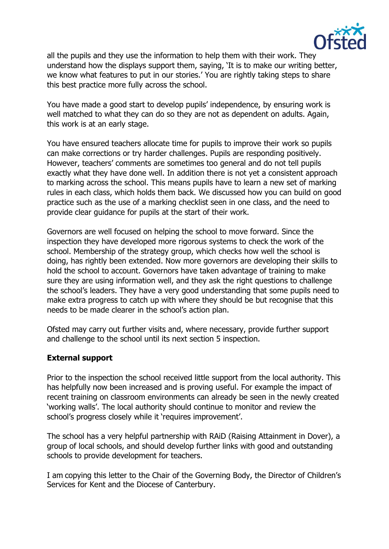

all the pupils and they use the information to help them with their work. They understand how the displays support them, saying, 'It is to make our writing better, we know what features to put in our stories.' You are rightly taking steps to share this best practice more fully across the school.

You have made a good start to develop pupils' independence, by ensuring work is well matched to what they can do so they are not as dependent on adults. Again, this work is at an early stage.

You have ensured teachers allocate time for pupils to improve their work so pupils can make corrections or try harder challenges. Pupils are responding positively. However, teachers' comments are sometimes too general and do not tell pupils exactly what they have done well. In addition there is not yet a consistent approach to marking across the school. This means pupils have to learn a new set of marking rules in each class, which holds them back. We discussed how you can build on good practice such as the use of a marking checklist seen in one class, and the need to provide clear guidance for pupils at the start of their work.

Governors are well focused on helping the school to move forward. Since the inspection they have developed more rigorous systems to check the work of the school. Membership of the strategy group, which checks how well the school is doing, has rightly been extended. Now more governors are developing their skills to hold the school to account. Governors have taken advantage of training to make sure they are using information well, and they ask the right questions to challenge the school's leaders. They have a very good understanding that some pupils need to make extra progress to catch up with where they should be but recognise that this needs to be made clearer in the school's action plan.

Ofsted may carry out further visits and, where necessary, provide further support and challenge to the school until its next section 5 inspection.

## **External support**

Prior to the inspection the school received little support from the local authority. This has helpfully now been increased and is proving useful. For example the impact of recent training on classroom environments can already be seen in the newly created 'working walls'. The local authority should continue to monitor and review the school's progress closely while it 'requires improvement'.

The school has a very helpful partnership with RAiD (Raising Attainment in Dover), a group of local schools, and should develop further links with good and outstanding schools to provide development for teachers.

I am copying this letter to the Chair of the Governing Body, the Director of Children's Services for Kent and the Diocese of Canterbury.